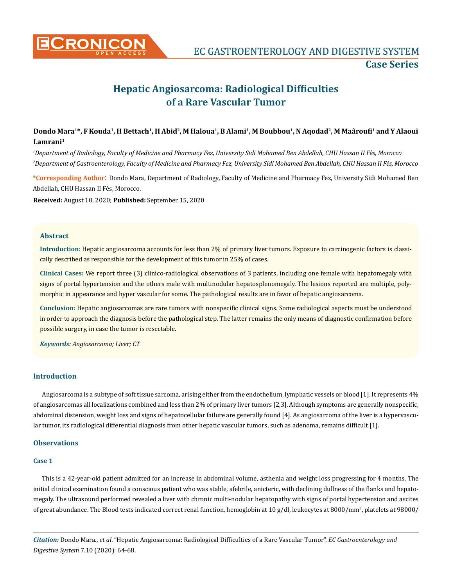

# **Hepatic Angiosarcoma: Radiological Difficulties of a Rare Vascular Tumor**

# **Dondo Mara1\*, F Kouda1, H Bettach1, H Abid2, M Haloua1, B Alami1, M Boubbou1, N Aqodad2, M Maâroufi<sup>1</sup> and Y Alaoui Lamrani1**

*1 Department of Radiology, Faculty of Medicine and Pharmacy Fez, University Sidi Mohamed Ben Abdellah, CHU Hassan II Fès, Morocco 2 Department of Gastroenterology, Faculty of Medicine and Pharmacy Fez, University Sidi Mohamed Ben Abdellah, CHU Hassan II Fès, Morocco*

**\*Corresponding Author**: Dondo Mara, Department of Radiology, Faculty of Medicine and Pharmacy Fez, University Sidi Mohamed Ben Abdellah, CHU Hassan II Fès, Morocco.

**Received:** August 10, 2020; **Published:** September 15, 2020

#### **Abstract**

**Introduction:** Hepatic angiosarcoma accounts for less than 2% of primary liver tumors. Exposure to carcinogenic factors is classically described as responsible for the development of this tumor in 25% of cases.

**Clinical Cases:** We report three (3) clinico-radiological observations of 3 patients, including one female with hepatomegaly with signs of portal hypertension and the others male with multinodular hepatosplenomegaly. The lesions reported are multiple, polymorphic in appearance and hyper vascular for some. The pathological results are in favor of hepatic angiosarcoma.

**Conclusion:** Hepatic angiosarcomas are rare tumors with nonspecific clinical signs. Some radiological aspects must be understood in order to approach the diagnosis before the pathological step. The latter remains the only means of diagnostic confirmation before possible surgery, in case the tumor is resectable.

*Keywords: Angiosarcoma; Liver; CT*

## **Introduction**

Angiosarcoma is a subtype of soft tissue sarcoma, arising either from the endothelium, lymphatic vessels or blood [1]. It represents 4% of angiosarcomas all localizations combined and less than 2% of primary liver tumors [2,3]. Although symptoms are generally nonspecific, abdominal distension, weight loss and signs of hepatocellular failure are generally found [4]. As angiosarcoma of the liver is a hypervascular tumor, its radiological differential diagnosis from other hepatic vascular tumors, such as adenoma, remains difficult [1].

# **Observations**

#### **Case 1**

This is a 42-year-old patient admitted for an increase in abdominal volume, asthenia and weight loss progressing for 4 months. The initial clinical examination found a conscious patient who was stable, afebrile, anicteric, with declining dullness of the flanks and hepatomegaly. The ultrasound performed revealed a liver with chronic multi-nodular hepatopathy with signs of portal hypertension and ascites of great abundance. The Blood tests indicated correct renal function, hemoglobin at 10 g/dl, leukocytes at 8000/mm<sup>3</sup>, platelets at 98000/

*Citation:* Dondo Mara., *et al*. "Hepatic Angiosarcoma: Radiological Difficulties of a Rare Vascular Tumor". *EC Gastroenterology and Digestive System* 7.10 (2020): 64-68.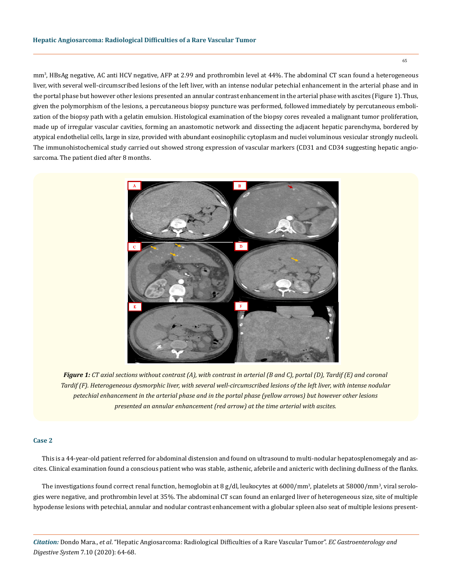mm<sup>3</sup>, HBsAg negative, AC anti HCV negative, AFP at 2.99 and prothrombin level at 44%. The abdominal CT scan found a heterogeneous liver, with several well-circumscribed lesions of the left liver, with an intense nodular petechial enhancement in the arterial phase and in the portal phase but however other lesions presented an annular contrast enhancement in the arterial phase with ascites (Figure 1). Thus, given the polymorphism of the lesions, a percutaneous biopsy puncture was performed, followed immediately by percutaneous embolization of the biopsy path with a gelatin emulsion. Histological examination of the biopsy cores revealed a malignant tumor proliferation, made up of irregular vascular cavities, forming an anastomotic network and dissecting the adjacent hepatic parenchyma, bordered by atypical endothelial cells, large in size, provided with abundant eosinophilic cytoplasm and nuclei voluminous vesicular strongly nucleoli. The immunohistochemical study carried out showed strong expression of vascular markers (CD31 and CD34 suggesting hepatic angiosarcoma. The patient died after 8 months.



*Figure 1: CT axial sections without contrast (A), with contrast in arterial (B and C), portal (D), Tardif (E) and coronal Tardif (F). Heterogeneous dysmorphic liver, with several well-circumscribed lesions of the left liver, with intense nodular petechial enhancement in the arterial phase and in the portal phase (yellow arrows) but however other lesions presented an annular enhancement (red arrow) at the time arterial with ascites.*

### **Case 2**

This is a 44-year-old patient referred for abdominal distension and found on ultrasound to multi-nodular hepatosplenomegaly and ascites. Clinical examination found a conscious patient who was stable, asthenic, afebrile and anicteric with declining dullness of the flanks.

The investigations found correct renal function, hemoglobin at 8 g/dl, leukocytes at 6000/mm<sup>3</sup>, platelets at 58000/mm<sup>3</sup>, viral serologies were negative, and prothrombin level at 35%. The abdominal CT scan found an enlarged liver of heterogeneous size, site of multiple hypodense lesions with petechial, annular and nodular contrast enhancement with a globular spleen also seat of multiple lesions present-

*Citation:* Dondo Mara., *et al*. "Hepatic Angiosarcoma: Radiological Difficulties of a Rare Vascular Tumor". *EC Gastroenterology and Digestive System* 7.10 (2020): 64-68.

65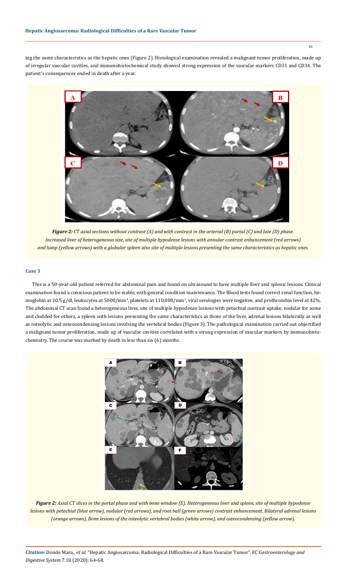66

ing the same characteristics as the hepatic ones (Figure 2). Histological examination revealed a malignant tumor proliferation, made up of irregular vascular cavities, and immunohistochemical study showed strong expression of the vascular markers CD31 and CD34. The patient's consequences ended in death after a year.



*Figure 2: CT axial sections without contrast (A) and with contrast in the arterial (B) portal (C) and late (D) phase. Increased liver of heterogeneous size, site of multiple hypodense lesions with annular contrast enhancement (red arrows) and lump (yellow arrows) with a globular spleen also site of multiple lesions presenting the same characteristics as hepatic ones.* 

### **Case 3**

This is a 50-year-old patient referred for abdominal pain and found on ultrasound to have multiple liver and splenic lesions. Clinical examination found a conscious patient to be stable, with general condition maintenance. The Blood tests found correct renal function, hemoglobin at 10.5 g/dl, leukocytes at 5000/mm<sup>3</sup>, platelets at 110,000/mm<sup>3</sup>, viral serologies were negative, and prothrombin level at 42%. The abdominal CT scan found a heterogeneous liver, site of multiple hypodense lesions with petechial contrast uptake, nodular for some and clodded for others, a spleen with lesions presenting the same characteristics as those of the liver, adrenal lesions bilaterally as well as osteolytic and osteocondensing lesions involving the vertebral bodies (Figure 3). The pathological examination carried out objectified a malignant tumor proliferation, made up of vascular cavities correlated with a strong expression of vascular markers by immunohistochemistry. The course was marked by death in less than six (6) months.



*Figure 2: Axial CT slices in the portal phase and with bone window (E). Heterogeneous liver and spleen, site of multiple hypodense lesions with petechial (blue arrow), nodular (red arrows), and root ball (green arrows) contrast enhancement, Bilateral adrenal lesions (orange arrows), Bone lesions of the osteolytic vertebral bodies (white arrow), and osteocondensing (yellow arrow).*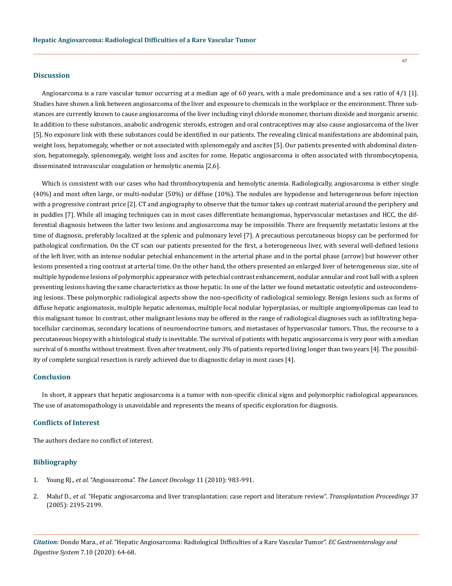#### **Discussion**

Angiosarcoma is a rare vascular tumor occurring at a median age of 60 years, with a male predominance and a sex ratio of 4/1 [1]. Studies have shown a link between angiosarcoma of the liver and exposure to chemicals in the workplace or the environment. Three substances are currently known to cause angiosarcoma of the liver including vinyl chloride monomer, thorium dioxide and inorganic arsenic. In addition to these substances, anabolic androgenic steroids, estrogen and oral contraceptives may also cause angiosarcoma of the liver [5]. No exposure link with these substances could be identified in our patients. The revealing clinical manifestations are abdominal pain, weight loss, hepatomegaly, whether or not associated with splenomegaly and ascites [5]. Our patients presented with abdominal distension, hepatomegaly, splenomegaly, weight loss and ascites for some. Hepatic angiosarcoma is often associated with thrombocytopenia, disseminated intravascular coagulation or hemolytic anemia [2,6].

Which is consistent with our cases who had thrombocytopenia and hemolytic anemia. Radiologically, angiosarcoma is either single (40%) and most often large, or multi-nodular (50%) or diffuse (10%). The nodules are hypodense and heterogeneous before injection with a progressive contrast price [2]. CT and angiography to observe that the tumor takes up contrast material around the periphery and in puddles [7]. While all imaging techniques can in most cases differentiate hemangiomas, hypervascular metastases and HCC, the differential diagnosis between the latter two lesions and angiosarcoma may be impossible. There are frequently metastatic lesions at the time of diagnosis, preferably localized at the splenic and pulmonary level [7]. A precautious percutaneous biopsy can be performed for pathological confirmation. On the CT scan our patients presented for the first, a heterogeneous liver, with several well-defined lesions of the left liver, with an intense nodular petechial enhancement in the arterial phase and in the portal phase (arrow) but however other lesions presented a ring contrast at arterial time. On the other hand, the others presented an enlarged liver of heterogeneous size, site of multiple hypodense lesions of polymorphic appearance with petechial contrast enhancement, nodular annular and root ball with a spleen presenting lesions having the same characteristics as those hepatic. In one of the latter we found metastatic osteolytic and osteocondensing lesions. These polymorphic radiological aspects show the non-specificity of radiological semiology. Benign lesions such as forms of diffuse hepatic angiomatosis, multiple hepatic adenomas, multiple focal nodular hyperplasias, or multiple angiomyolipomas can lead to this malignant tumor. In contrast, other malignant lesions may be offered in the range of radiological diagnoses such as infiltrating hepatocellular carcinomas, secondary locations of neuroendocrine tumors, and metastases of hypervascular tumors. Thus, the recourse to a percutaneous biopsy with a histological study is inevitable. The survival of patients with hepatic angiosarcoma is very poor with a median survival of 6 months without treatment. Even after treatment, only 3% of patients reported living longer than two years [4]. The possibility of complete surgical resection is rarely achieved due to diagnostic delay in most cases [4].

#### **Conclusion**

In short, it appears that hepatic angiosarcoma is a tumor with non-specific clinical signs and polymorphic radiological appearances. The use of anatomopathology is unavoidable and represents the means of specific exploration for diagnosis.

#### **Conflicts of Interest**

The authors declare no conflict of interest.

#### **Bibliography**

- 1. Young RJ., *et al.* "Angiosarcoma". *[The Lancet Oncology](https://pubmed.ncbi.nlm.nih.gov/20537949/)* 11 (2010): 983-991.
- 2. Maluf D., *et al.* ["Hepatic angiosarcoma and liver transplantation: case report and literature review".](https://pubmed.ncbi.nlm.nih.gov/15964377/) *Transplantation Proceedings* 37 [\(2005\): 2195-2199.](https://pubmed.ncbi.nlm.nih.gov/15964377/)

*Citation:* Dondo Mara., *et al*. "Hepatic Angiosarcoma: Radiological Difficulties of a Rare Vascular Tumor". *EC Gastroenterology and Digestive System* 7.10 (2020): 64-68.